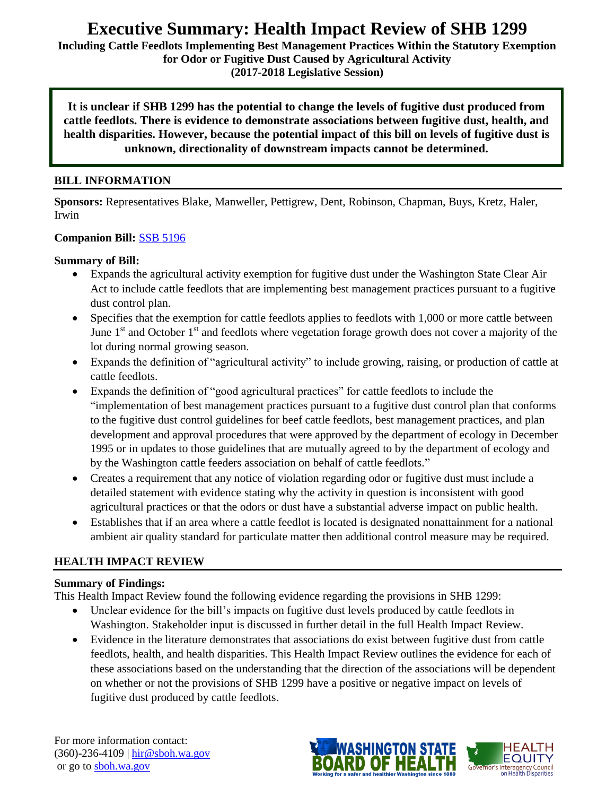# **Executive Summary: Health Impact Review of SHB 1299**

**Including Cattle Feedlots Implementing Best Management Practices Within the Statutory Exemption for Odor or Fugitive Dust Caused by Agricultural Activity** 

**(2017-2018 Legislative Session)**

**It is unclear if SHB 1299 has the potential to change the levels of fugitive dust produced from cattle feedlots. There is evidence to demonstrate associations between fugitive dust, health, and health disparities. However, because the potential impact of this bill on levels of fugitive dust is unknown, directionality of downstream impacts cannot be determined.**

#### **BILL INFORMATION**

**Sponsors:** Representatives Blake, Manweller, Pettigrew, Dent, Robinson, Chapman, Buys, Kretz, Haler, Irwin

#### **Companion Bill:** [SSB 5196](http://lawfilesext.leg.wa.gov/biennium/2017-18/Pdf/Bills/Senate%20Bills/5196-S.pdf)

#### **Summary of Bill:**

- Expands the agricultural activity exemption for fugitive dust under the Washington State Clear Air Act to include cattle feedlots that are implementing best management practices pursuant to a fugitive dust control plan.
- Specifies that the exemption for cattle feedlots applies to feedlots with 1,000 or more cattle between June  $1<sup>st</sup>$  and October  $1<sup>st</sup>$  and feedlots where vegetation forage growth does not cover a majority of the lot during normal growing season.
- Expands the definition of "agricultural activity" to include growing, raising, or production of cattle at cattle feedlots.
- Expands the definition of "good agricultural practices" for cattle feedlots to include the "implementation of best management practices pursuant to a fugitive dust control plan that conforms to the fugitive dust control guidelines for beef cattle feedlots, best management practices, and plan development and approval procedures that were approved by the department of ecology in December 1995 or in updates to those guidelines that are mutually agreed to by the department of ecology and by the Washington cattle feeders association on behalf of cattle feedlots."
- Creates a requirement that any notice of violation regarding odor or fugitive dust must include a detailed statement with evidence stating why the activity in question is inconsistent with good agricultural practices or that the odors or dust have a substantial adverse impact on public health.
- Establishes that if an area where a cattle feedlot is located is designated nonattainment for a national ambient air quality standard for particulate matter then additional control measure may be required.

#### **HEALTH IMPACT REVIEW**

#### **Summary of Findings:**

This Health Impact Review found the following evidence regarding the provisions in SHB 1299:

- Unclear evidence for the bill's impacts on fugitive dust levels produced by cattle feedlots in Washington. Stakeholder input is discussed in further detail in the full Health Impact Review.
- Evidence in the literature demonstrates that associations do exist between fugitive dust from cattle feedlots, health, and health disparities. This Health Impact Review outlines the evidence for each of these associations based on the understanding that the direction of the associations will be dependent on whether or not the provisions of SHB 1299 have a positive or negative impact on levels of fugitive dust produced by cattle feedlots.

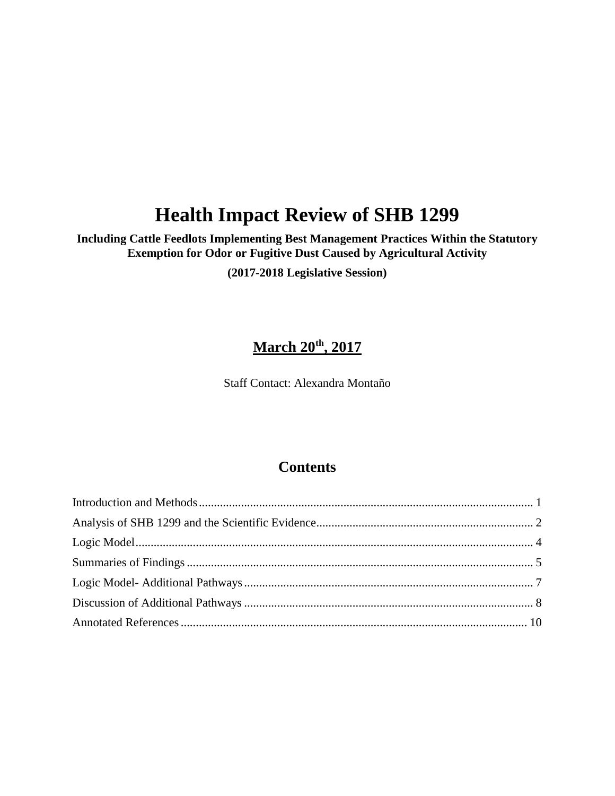# **Health Impact Review of SHB 1299**

## **Including Cattle Feedlots Implementing Best Management Practices Within the Statutory Exemption for Odor or Fugitive Dust Caused by Agricultural Activity**

**(2017-2018 Legislative Session)**

# **March 20th, 2017**

Staff Contact: Alexandra Montaño

## **Contents**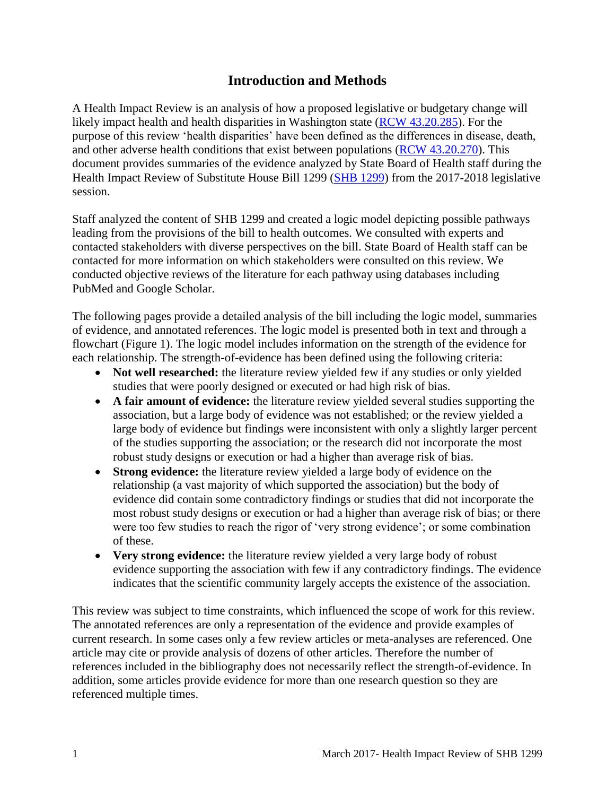## **Introduction and Methods**

<span id="page-2-0"></span>A Health Impact Review is an analysis of how a proposed legislative or budgetary change will likely impact health and health disparities in Washington state [\(RCW 43.20.285\)](http://apps.leg.wa.gov/rcw/default.aspx?cite=43.20.285). For the purpose of this review 'health disparities' have been defined as the differences in disease, death, and other adverse health conditions that exist between populations [\(RCW 43.20.270\)](http://apps.leg.wa.gov/rcw/default.aspx?cite=43.20.270). This document provides summaries of the evidence analyzed by State Board of Health staff during the Health Impact Review of Substitute House Bill 1299 [\(SHB 1299\)](http://lawfilesext.leg.wa.gov/biennium/2017-18/Pdf/Bills/House%20Bills/1299-S.pdf) from the 2017-2018 legislative session.

Staff analyzed the content of SHB 1299 and created a logic model depicting possible pathways leading from the provisions of the bill to health outcomes. We consulted with experts and contacted stakeholders with diverse perspectives on the bill. State Board of Health staff can be contacted for more information on which stakeholders were consulted on this review. We conducted objective reviews of the literature for each pathway using databases including PubMed and Google Scholar.

The following pages provide a detailed analysis of the bill including the logic model, summaries of evidence, and annotated references. The logic model is presented both in text and through a flowchart (Figure 1). The logic model includes information on the strength of the evidence for each relationship. The strength-of-evidence has been defined using the following criteria:

- Not well researched: the literature review yielded few if any studies or only yielded studies that were poorly designed or executed or had high risk of bias.
- **A fair amount of evidence:** the literature review yielded several studies supporting the association, but a large body of evidence was not established; or the review yielded a large body of evidence but findings were inconsistent with only a slightly larger percent of the studies supporting the association; or the research did not incorporate the most robust study designs or execution or had a higher than average risk of bias.
- **Strong evidence:** the literature review yielded a large body of evidence on the relationship (a vast majority of which supported the association) but the body of evidence did contain some contradictory findings or studies that did not incorporate the most robust study designs or execution or had a higher than average risk of bias; or there were too few studies to reach the rigor of 'very strong evidence'; or some combination of these.
- **Very strong evidence:** the literature review yielded a very large body of robust evidence supporting the association with few if any contradictory findings. The evidence indicates that the scientific community largely accepts the existence of the association.

This review was subject to time constraints, which influenced the scope of work for this review. The annotated references are only a representation of the evidence and provide examples of current research. In some cases only a few review articles or meta-analyses are referenced. One article may cite or provide analysis of dozens of other articles. Therefore the number of references included in the bibliography does not necessarily reflect the strength-of-evidence. In addition, some articles provide evidence for more than one research question so they are referenced multiple times.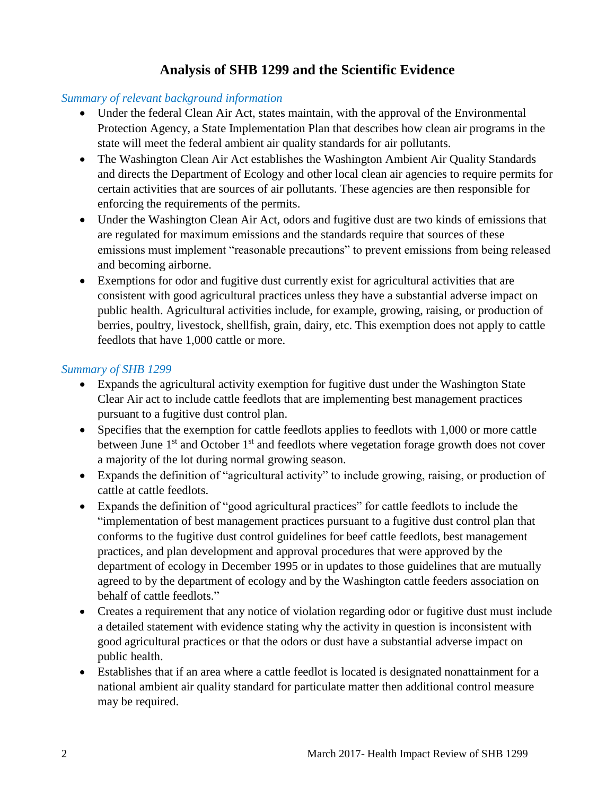## **Analysis of SHB 1299 and the Scientific Evidence**

#### <span id="page-3-0"></span>*Summary of relevant background information*

- Under the federal Clean Air Act, states maintain, with the approval of the Environmental Protection Agency, a State Implementation Plan that describes how clean air programs in the state will meet the federal ambient air quality standards for air pollutants.
- The Washington Clean Air Act establishes the Washington Ambient Air Quality Standards and directs the Department of Ecology and other local clean air agencies to require permits for certain activities that are sources of air pollutants. These agencies are then responsible for enforcing the requirements of the permits.
- Under the Washington Clean Air Act, odors and fugitive dust are two kinds of emissions that are regulated for maximum emissions and the standards require that sources of these emissions must implement "reasonable precautions" to prevent emissions from being released and becoming airborne.
- Exemptions for odor and fugitive dust currently exist for agricultural activities that are consistent with good agricultural practices unless they have a substantial adverse impact on public health. Agricultural activities include, for example, growing, raising, or production of berries, poultry, livestock, shellfish, grain, dairy, etc. This exemption does not apply to cattle feedlots that have 1,000 cattle or more.

#### *Summary of SHB 1299*

- Expands the agricultural activity exemption for fugitive dust under the Washington State Clear Air act to include cattle feedlots that are implementing best management practices pursuant to a fugitive dust control plan.
- Specifies that the exemption for cattle feedlots applies to feedlots with 1,000 or more cattle between June  $1<sup>st</sup>$  and October  $1<sup>st</sup>$  and feedlots where vegetation forage growth does not cover a majority of the lot during normal growing season.
- Expands the definition of "agricultural activity" to include growing, raising, or production of cattle at cattle feedlots.
- Expands the definition of "good agricultural practices" for cattle feedlots to include the "implementation of best management practices pursuant to a fugitive dust control plan that conforms to the fugitive dust control guidelines for beef cattle feedlots, best management practices, and plan development and approval procedures that were approved by the department of ecology in December 1995 or in updates to those guidelines that are mutually agreed to by the department of ecology and by the Washington cattle feeders association on behalf of cattle feedlots."
- Creates a requirement that any notice of violation regarding odor or fugitive dust must include a detailed statement with evidence stating why the activity in question is inconsistent with good agricultural practices or that the odors or dust have a substantial adverse impact on public health.
- Establishes that if an area where a cattle feedlot is located is designated nonattainment for a national ambient air quality standard for particulate matter then additional control measure may be required.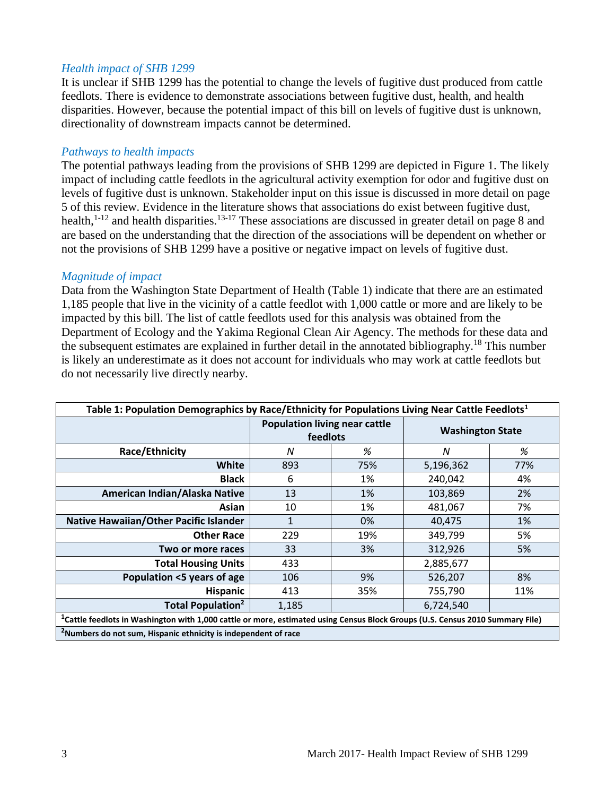#### *Health impact of SHB 1299*

It is unclear if SHB 1299 has the potential to change the levels of fugitive dust produced from cattle feedlots. There is evidence to demonstrate associations between fugitive dust, health, and health disparities. However, because the potential impact of this bill on levels of fugitive dust is unknown, directionality of downstream impacts cannot be determined.

#### *Pathways to health impacts*

The potential pathways leading from the provisions of SHB 1299 are depicted in Figure 1. The likely impact of including cattle feedlots in the agricultural activity exemption for odor and fugitive dust on levels of fugitive dust is unknown. Stakeholder input on this issue is discussed in more detail on page 5 of this review. Evidence in the literature shows that associations do exist between fugitive dust, health,<sup>1-12</sup> and health disparities.<sup>13-17</sup> These associations are discussed in greater detail on page 8 and are based on the understanding that the direction of the associations will be dependent on whether or not the provisions of SHB 1299 have a positive or negative impact on levels of fugitive dust.

#### *Magnitude of impact*

Data from the Washington State Department of Health (Table 1) indicate that there are an estimated 1,185 people that live in the vicinity of a cattle feedlot with 1,000 cattle or more and are likely to be impacted by this bill. The list of cattle feedlots used for this analysis was obtained from the Department of Ecology and the Yakima Regional Clean Air Agency. The methods for these data and the subsequent estimates are explained in further detail in the annotated bibliography.<sup>18</sup> This number is likely an underestimate as it does not account for individuals who may work at cattle feedlots but do not necessarily live directly nearby.

| Table 1: Population Demographics by Race/Ethnicity for Populations Living Near Cattle Feedlots <sup>1</sup>                               |                                                  |     |                         |     |  |  |
|-------------------------------------------------------------------------------------------------------------------------------------------|--------------------------------------------------|-----|-------------------------|-----|--|--|
|                                                                                                                                           | <b>Population living near cattle</b><br>feedlots |     | <b>Washington State</b> |     |  |  |
| <b>Race/Ethnicity</b>                                                                                                                     | N                                                | %   | N                       | %   |  |  |
| White                                                                                                                                     | 893                                              | 75% | 5,196,362               | 77% |  |  |
| <b>Black</b>                                                                                                                              | 6                                                | 1%  | 240,042                 | 4%  |  |  |
| American Indian/Alaska Native                                                                                                             | 13                                               | 1%  | 103,869                 | 2%  |  |  |
| Asian                                                                                                                                     | 10                                               | 1%  | 481,067                 | 7%  |  |  |
| Native Hawaiian/Other Pacific Islander                                                                                                    | 1                                                | 0%  | 40,475                  | 1%  |  |  |
| <b>Other Race</b>                                                                                                                         | 229                                              | 19% | 349,799                 | 5%  |  |  |
| Two or more races                                                                                                                         | 33                                               | 3%  | 312,926                 | 5%  |  |  |
| <b>Total Housing Units</b>                                                                                                                | 433                                              |     | 2,885,677               |     |  |  |
| Population <5 years of age                                                                                                                | 106                                              | 9%  | 526,207                 | 8%  |  |  |
| <b>Hispanic</b>                                                                                                                           | 413                                              | 35% | 755,790                 | 11% |  |  |
| <b>Total Population<sup>2</sup></b>                                                                                                       | 1,185                                            |     | 6,724,540               |     |  |  |
| <sup>1</sup> Cattle feedlots in Washington with 1,000 cattle or more, estimated using Census Block Groups (U.S. Census 2010 Summary File) |                                                  |     |                         |     |  |  |
| <sup>2</sup> Numbers do not sum, Hispanic ethnicity is independent of race                                                                |                                                  |     |                         |     |  |  |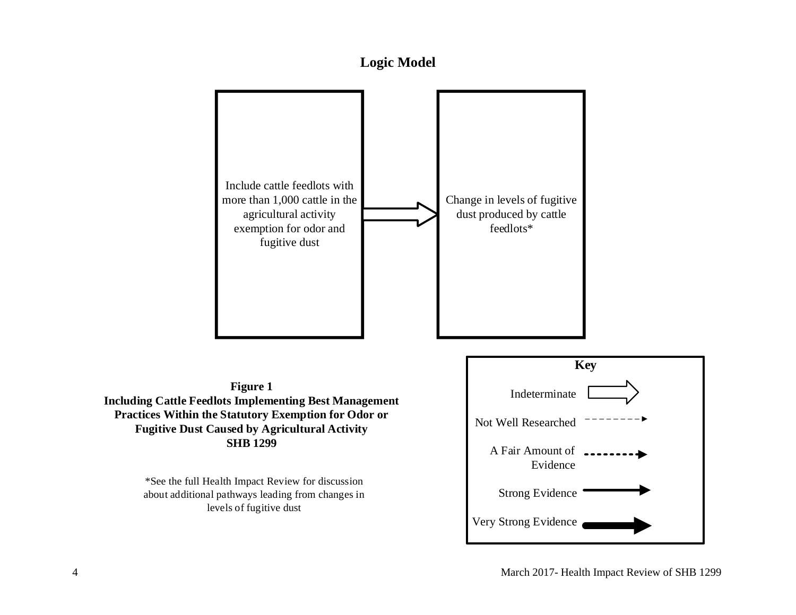

<span id="page-5-0"></span>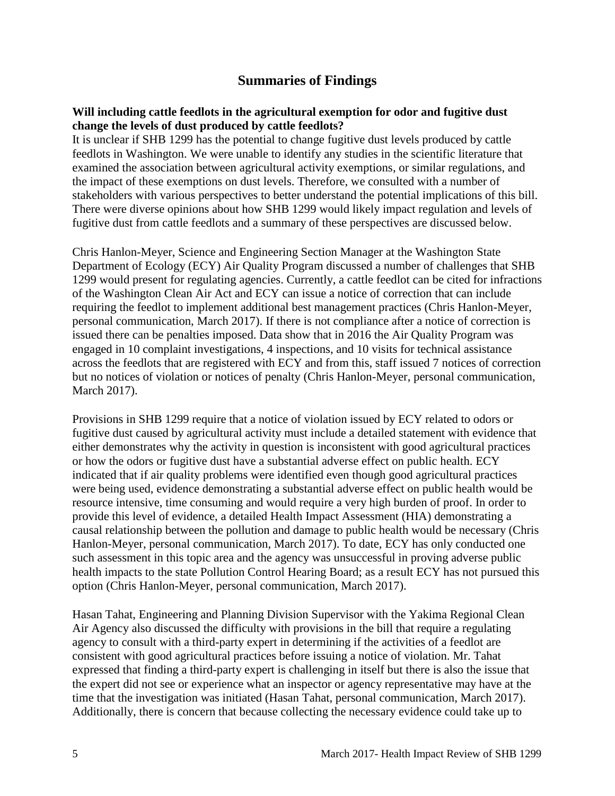## **Summaries of Findings**

#### <span id="page-6-0"></span>**Will including cattle feedlots in the agricultural exemption for odor and fugitive dust change the levels of dust produced by cattle feedlots?**

It is unclear if SHB 1299 has the potential to change fugitive dust levels produced by cattle feedlots in Washington. We were unable to identify any studies in the scientific literature that examined the association between agricultural activity exemptions, or similar regulations, and the impact of these exemptions on dust levels. Therefore, we consulted with a number of stakeholders with various perspectives to better understand the potential implications of this bill. There were diverse opinions about how SHB 1299 would likely impact regulation and levels of fugitive dust from cattle feedlots and a summary of these perspectives are discussed below.

Chris Hanlon-Meyer, Science and Engineering Section Manager at the Washington State Department of Ecology (ECY) Air Quality Program discussed a number of challenges that SHB 1299 would present for regulating agencies. Currently, a cattle feedlot can be cited for infractions of the Washington Clean Air Act and ECY can issue a notice of correction that can include requiring the feedlot to implement additional best management practices (Chris Hanlon-Meyer, personal communication, March 2017). If there is not compliance after a notice of correction is issued there can be penalties imposed. Data show that in 2016 the Air Quality Program was engaged in 10 complaint investigations, 4 inspections, and 10 visits for technical assistance across the feedlots that are registered with ECY and from this, staff issued 7 notices of correction but no notices of violation or notices of penalty (Chris Hanlon-Meyer, personal communication, March 2017).

Provisions in SHB 1299 require that a notice of violation issued by ECY related to odors or fugitive dust caused by agricultural activity must include a detailed statement with evidence that either demonstrates why the activity in question is inconsistent with good agricultural practices or how the odors or fugitive dust have a substantial adverse effect on public health. ECY indicated that if air quality problems were identified even though good agricultural practices were being used, evidence demonstrating a substantial adverse effect on public health would be resource intensive, time consuming and would require a very high burden of proof. In order to provide this level of evidence, a detailed Health Impact Assessment (HIA) demonstrating a causal relationship between the pollution and damage to public health would be necessary (Chris Hanlon-Meyer, personal communication, March 2017). To date, ECY has only conducted one such assessment in this topic area and the agency was unsuccessful in proving adverse public health impacts to the state Pollution Control Hearing Board; as a result ECY has not pursued this option (Chris Hanlon-Meyer, personal communication, March 2017).

Hasan Tahat, Engineering and Planning Division Supervisor with the Yakima Regional Clean Air Agency also discussed the difficulty with provisions in the bill that require a regulating agency to consult with a third-party expert in determining if the activities of a feedlot are consistent with good agricultural practices before issuing a notice of violation. Mr. Tahat expressed that finding a third-party expert is challenging in itself but there is also the issue that the expert did not see or experience what an inspector or agency representative may have at the time that the investigation was initiated (Hasan Tahat, personal communication, March 2017). Additionally, there is concern that because collecting the necessary evidence could take up to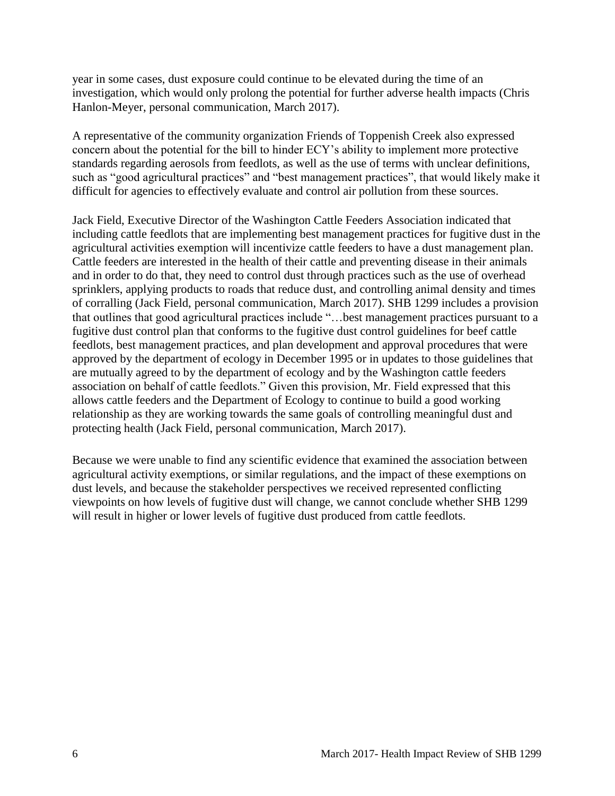year in some cases, dust exposure could continue to be elevated during the time of an investigation, which would only prolong the potential for further adverse health impacts (Chris Hanlon-Meyer, personal communication, March 2017).

A representative of the community organization Friends of Toppenish Creek also expressed concern about the potential for the bill to hinder ECY's ability to implement more protective standards regarding aerosols from feedlots, as well as the use of terms with unclear definitions, such as "good agricultural practices" and "best management practices", that would likely make it difficult for agencies to effectively evaluate and control air pollution from these sources.

Jack Field, Executive Director of the Washington Cattle Feeders Association indicated that including cattle feedlots that are implementing best management practices for fugitive dust in the agricultural activities exemption will incentivize cattle feeders to have a dust management plan. Cattle feeders are interested in the health of their cattle and preventing disease in their animals and in order to do that, they need to control dust through practices such as the use of overhead sprinklers, applying products to roads that reduce dust, and controlling animal density and times of corralling (Jack Field, personal communication, March 2017). SHB 1299 includes a provision that outlines that good agricultural practices include "…best management practices pursuant to a fugitive dust control plan that conforms to the fugitive dust control guidelines for beef cattle feedlots, best management practices, and plan development and approval procedures that were approved by the department of ecology in December 1995 or in updates to those guidelines that are mutually agreed to by the department of ecology and by the Washington cattle feeders association on behalf of cattle feedlots." Given this provision, Mr. Field expressed that this allows cattle feeders and the Department of Ecology to continue to build a good working relationship as they are working towards the same goals of controlling meaningful dust and protecting health (Jack Field, personal communication, March 2017).

Because we were unable to find any scientific evidence that examined the association between agricultural activity exemptions, or similar regulations, and the impact of these exemptions on dust levels, and because the stakeholder perspectives we received represented conflicting viewpoints on how levels of fugitive dust will change, we cannot conclude whether SHB 1299 will result in higher or lower levels of fugitive dust produced from cattle feedlots.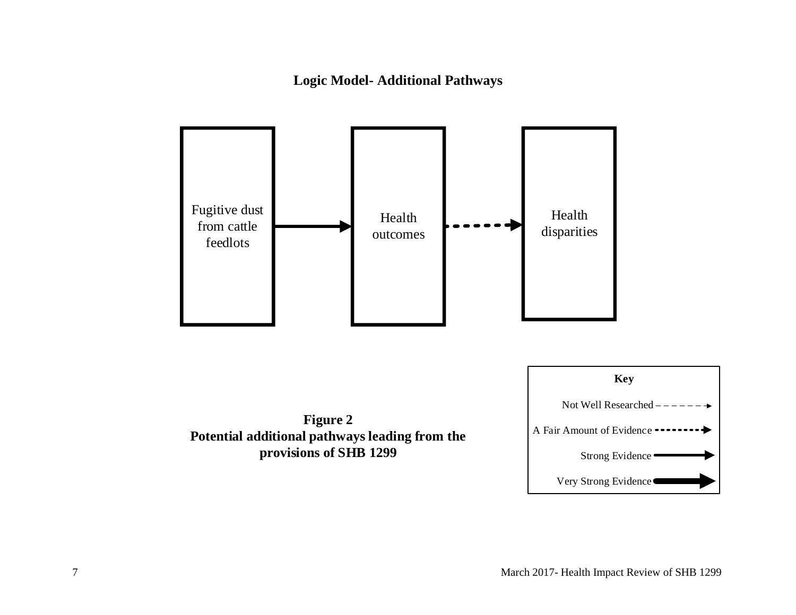**Logic Model- Additional Pathways**

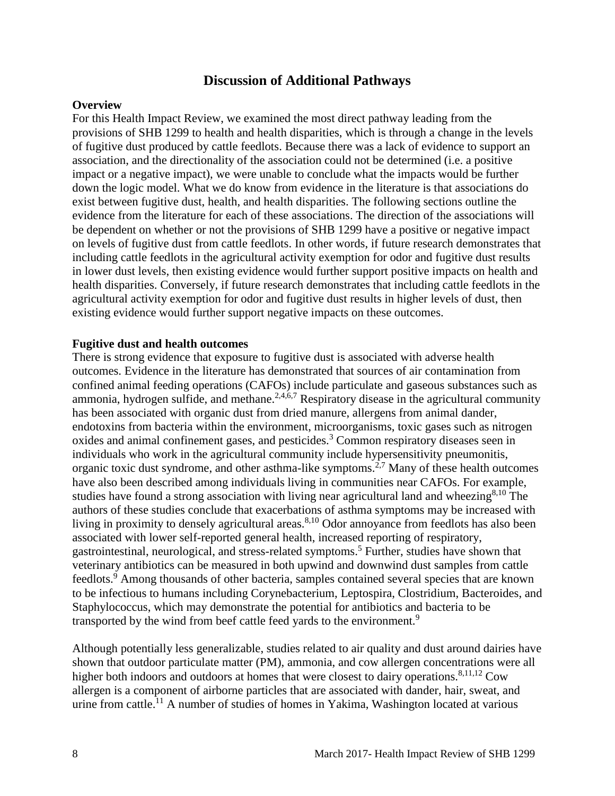## **Discussion of Additional Pathways**

#### **Overview**

For this Health Impact Review, we examined the most direct pathway leading from the provisions of SHB 1299 to health and health disparities, which is through a change in the levels of fugitive dust produced by cattle feedlots. Because there was a lack of evidence to support an association, and the directionality of the association could not be determined (i.e. a positive impact or a negative impact), we were unable to conclude what the impacts would be further down the logic model. What we do know from evidence in the literature is that associations do exist between fugitive dust, health, and health disparities. The following sections outline the evidence from the literature for each of these associations. The direction of the associations will be dependent on whether or not the provisions of SHB 1299 have a positive or negative impact on levels of fugitive dust from cattle feedlots. In other words, if future research demonstrates that including cattle feedlots in the agricultural activity exemption for odor and fugitive dust results in lower dust levels, then existing evidence would further support positive impacts on health and health disparities. Conversely, if future research demonstrates that including cattle feedlots in the agricultural activity exemption for odor and fugitive dust results in higher levels of dust, then existing evidence would further support negative impacts on these outcomes.

#### **Fugitive dust and health outcomes**

There is strong evidence that exposure to fugitive dust is associated with adverse health outcomes. Evidence in the literature has demonstrated that sources of air contamination from confined animal feeding operations (CAFOs) include particulate and gaseous substances such as ammonia, hydrogen sulfide, and methane.<sup>2,4,6,7</sup> Respiratory disease in the agricultural community has been associated with organic dust from dried manure, allergens from animal dander, endotoxins from bacteria within the environment, microorganisms, toxic gases such as nitrogen oxides and animal confinement gases, and pesticides.<sup>3</sup> Common respiratory diseases seen in individuals who work in the agricultural community include hypersensitivity pneumonitis, organic toxic dust syndrome, and other asthma-like symptoms.<sup>2,7</sup> Many of these health outcomes have also been described among individuals living in communities near CAFOs. For example, studies have found a strong association with living near agricultural land and wheezing<sup>8,10</sup> The authors of these studies conclude that exacerbations of asthma symptoms may be increased with living in proximity to densely agricultural areas.<sup>8,10</sup> Odor annoyance from feedlots has also been associated with lower self-reported general health, increased reporting of respiratory, gastrointestinal, neurological, and stress-related symptoms.<sup>5</sup> Further, studies have shown that veterinary antibiotics can be measured in both upwind and downwind dust samples from cattle feedlots.<sup>9</sup> Among thousands of other bacteria, samples contained several species that are known to be infectious to humans including Corynebacterium, Leptospira, Clostridium, Bacteroides, and Staphylococcus, which may demonstrate the potential for antibiotics and bacteria to be transported by the wind from beef cattle feed yards to the environment.<sup>9</sup>

Although potentially less generalizable, studies related to air quality and dust around dairies have shown that outdoor particulate matter (PM), ammonia, and cow allergen concentrations were all higher both indoors and outdoors at homes that were closest to dairy operations.<sup>8,11,12</sup> Cow allergen is a component of airborne particles that are associated with dander, hair, sweat, and urine from cattle.<sup>11</sup> A number of studies of homes in Yakima, Washington located at various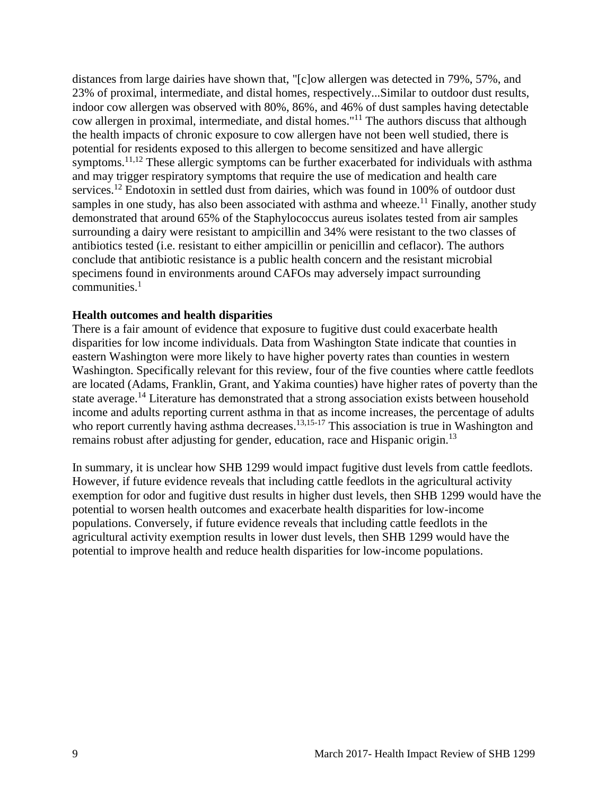distances from large dairies have shown that, "[c]ow allergen was detected in 79%, 57%, and 23% of proximal, intermediate, and distal homes, respectively...Similar to outdoor dust results, indoor cow allergen was observed with 80%, 86%, and 46% of dust samples having detectable cow allergen in proximal, intermediate, and distal homes."<sup>11</sup> The authors discuss that although the health impacts of chronic exposure to cow allergen have not been well studied, there is potential for residents exposed to this allergen to become sensitized and have allergic symptoms.<sup>11,12</sup> These allergic symptoms can be further exacerbated for individuals with asthma and may trigger respiratory symptoms that require the use of medication and health care services.<sup>12</sup> Endotoxin in settled dust from dairies, which was found in 100% of outdoor dust samples in one study, has also been associated with asthma and wheeze.<sup>11</sup> Finally, another study demonstrated that around 65% of the Staphylococcus aureus isolates tested from air samples surrounding a dairy were resistant to ampicillin and 34% were resistant to the two classes of antibiotics tested (i.e. resistant to either ampicillin or penicillin and ceflacor). The authors conclude that antibiotic resistance is a public health concern and the resistant microbial specimens found in environments around CAFOs may adversely impact surrounding  $commuities<sup>1</sup>$ 

#### **Health outcomes and health disparities**

There is a fair amount of evidence that exposure to fugitive dust could exacerbate health disparities for low income individuals. Data from Washington State indicate that counties in eastern Washington were more likely to have higher poverty rates than counties in western Washington. Specifically relevant for this review, four of the five counties where cattle feedlots are located (Adams, Franklin, Grant, and Yakima counties) have higher rates of poverty than the state average.<sup>14</sup> Literature has demonstrated that a strong association exists between household income and adults reporting current asthma in that as income increases, the percentage of adults who report currently having asthma decreases.<sup>13,15-17</sup> This association is true in Washington and remains robust after adjusting for gender, education, race and Hispanic origin.<sup>13</sup>

In summary, it is unclear how SHB 1299 would impact fugitive dust levels from cattle feedlots. However, if future evidence reveals that including cattle feedlots in the agricultural activity exemption for odor and fugitive dust results in higher dust levels, then SHB 1299 would have the potential to worsen health outcomes and exacerbate health disparities for low-income populations. Conversely, if future evidence reveals that including cattle feedlots in the agricultural activity exemption results in lower dust levels, then SHB 1299 would have the potential to improve health and reduce health disparities for low-income populations.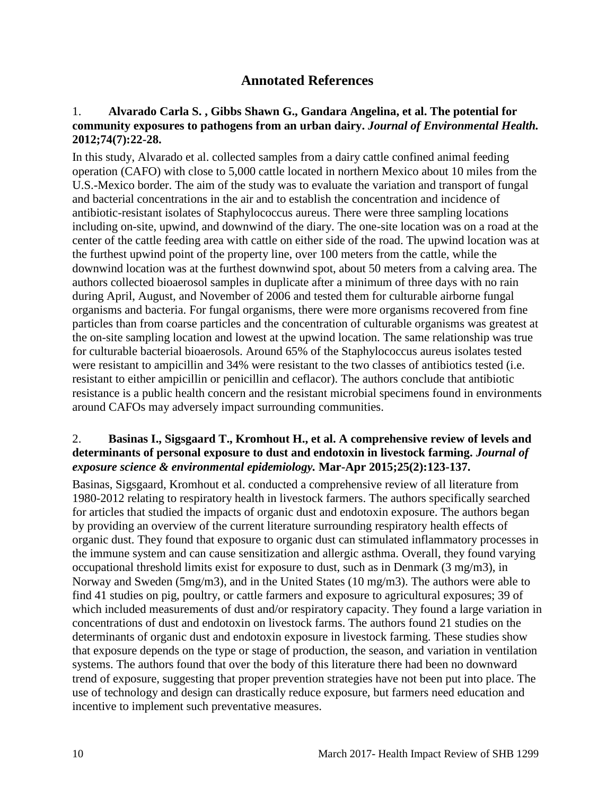## **Annotated References**

#### 1. **Alvarado Carla S. , Gibbs Shawn G., Gandara Angelina, et al. The potential for community exposures to pathogens from an urban dairy.** *Journal of Environmental Health.*  **2012;74(7):22-28.**

In this study, Alvarado et al. collected samples from a dairy cattle confined animal feeding operation (CAFO) with close to 5,000 cattle located in northern Mexico about 10 miles from the U.S.-Mexico border. The aim of the study was to evaluate the variation and transport of fungal and bacterial concentrations in the air and to establish the concentration and incidence of antibiotic-resistant isolates of Staphylococcus aureus. There were three sampling locations including on-site, upwind, and downwind of the diary. The one-site location was on a road at the center of the cattle feeding area with cattle on either side of the road. The upwind location was at the furthest upwind point of the property line, over 100 meters from the cattle, while the downwind location was at the furthest downwind spot, about 50 meters from a calving area. The authors collected bioaerosol samples in duplicate after a minimum of three days with no rain during April, August, and November of 2006 and tested them for culturable airborne fungal organisms and bacteria. For fungal organisms, there were more organisms recovered from fine particles than from coarse particles and the concentration of culturable organisms was greatest at the on-site sampling location and lowest at the upwind location. The same relationship was true for culturable bacterial bioaerosols. Around 65% of the Staphylococcus aureus isolates tested were resistant to ampicillin and 34% were resistant to the two classes of antibiotics tested (i.e. resistant to either ampicillin or penicillin and ceflacor). The authors conclude that antibiotic resistance is a public health concern and the resistant microbial specimens found in environments around CAFOs may adversely impact surrounding communities.

#### 2. **Basinas I., Sigsgaard T., Kromhout H., et al. A comprehensive review of levels and determinants of personal exposure to dust and endotoxin in livestock farming.** *Journal of exposure science & environmental epidemiology.* **Mar-Apr 2015;25(2):123-137.**

Basinas, Sigsgaard, Kromhout et al. conducted a comprehensive review of all literature from 1980-2012 relating to respiratory health in livestock farmers. The authors specifically searched for articles that studied the impacts of organic dust and endotoxin exposure. The authors began by providing an overview of the current literature surrounding respiratory health effects of organic dust. They found that exposure to organic dust can stimulated inflammatory processes in the immune system and can cause sensitization and allergic asthma. Overall, they found varying occupational threshold limits exist for exposure to dust, such as in Denmark (3 mg/m3), in Norway and Sweden (5mg/m3), and in the United States (10 mg/m3). The authors were able to find 41 studies on pig, poultry, or cattle farmers and exposure to agricultural exposures; 39 of which included measurements of dust and/or respiratory capacity. They found a large variation in concentrations of dust and endotoxin on livestock farms. The authors found 21 studies on the determinants of organic dust and endotoxin exposure in livestock farming. These studies show that exposure depends on the type or stage of production, the season, and variation in ventilation systems. The authors found that over the body of this literature there had been no downward trend of exposure, suggesting that proper prevention strategies have not been put into place. The use of technology and design can drastically reduce exposure, but farmers need education and incentive to implement such preventative measures.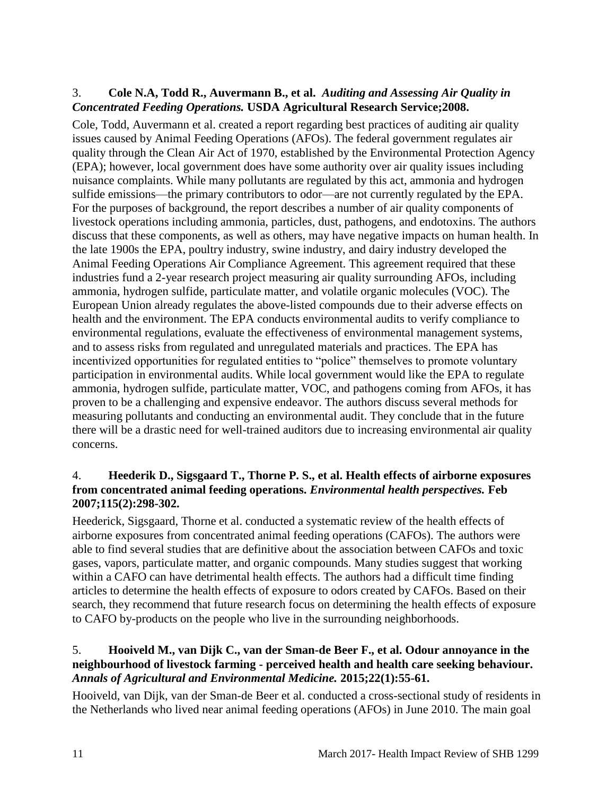## 3. **Cole N.A, Todd R., Auvermann B., et al.** *Auditing and Assessing Air Quality in Concentrated Feeding Operations.* **USDA Agricultural Research Service;2008.**

Cole, Todd, Auvermann et al. created a report regarding best practices of auditing air quality issues caused by Animal Feeding Operations (AFOs). The federal government regulates air quality through the Clean Air Act of 1970, established by the Environmental Protection Agency (EPA); however, local government does have some authority over air quality issues including nuisance complaints. While many pollutants are regulated by this act, ammonia and hydrogen sulfide emissions—the primary contributors to odor—are not currently regulated by the EPA. For the purposes of background, the report describes a number of air quality components of livestock operations including ammonia, particles, dust, pathogens, and endotoxins. The authors discuss that these components, as well as others, may have negative impacts on human health. In the late 1900s the EPA, poultry industry, swine industry, and dairy industry developed the Animal Feeding Operations Air Compliance Agreement. This agreement required that these industries fund a 2-year research project measuring air quality surrounding AFOs, including ammonia, hydrogen sulfide, particulate matter, and volatile organic molecules (VOC). The European Union already regulates the above-listed compounds due to their adverse effects on health and the environment. The EPA conducts environmental audits to verify compliance to environmental regulations, evaluate the effectiveness of environmental management systems, and to assess risks from regulated and unregulated materials and practices. The EPA has incentivized opportunities for regulated entities to "police" themselves to promote voluntary participation in environmental audits. While local government would like the EPA to regulate ammonia, hydrogen sulfide, particulate matter, VOC, and pathogens coming from AFOs, it has proven to be a challenging and expensive endeavor. The authors discuss several methods for measuring pollutants and conducting an environmental audit. They conclude that in the future there will be a drastic need for well-trained auditors due to increasing environmental air quality concerns.

## 4. **Heederik D., Sigsgaard T., Thorne P. S., et al. Health effects of airborne exposures from concentrated animal feeding operations.** *Environmental health perspectives.* **Feb 2007;115(2):298-302.**

Heederick, Sigsgaard, Thorne et al. conducted a systematic review of the health effects of airborne exposures from concentrated animal feeding operations (CAFOs). The authors were able to find several studies that are definitive about the association between CAFOs and toxic gases, vapors, particulate matter, and organic compounds. Many studies suggest that working within a CAFO can have detrimental health effects. The authors had a difficult time finding articles to determine the health effects of exposure to odors created by CAFOs. Based on their search, they recommend that future research focus on determining the health effects of exposure to CAFO by-products on the people who live in the surrounding neighborhoods.

#### 5. **Hooiveld M., van Dijk C., van der Sman-de Beer F., et al. Odour annoyance in the neighbourhood of livestock farming - perceived health and health care seeking behaviour.**  *Annals of Agricultural and Environmental Medicine.* **2015;22(1):55-61.**

Hooiveld, van Dijk, van der Sman-de Beer et al. conducted a cross-sectional study of residents in the Netherlands who lived near animal feeding operations (AFOs) in June 2010. The main goal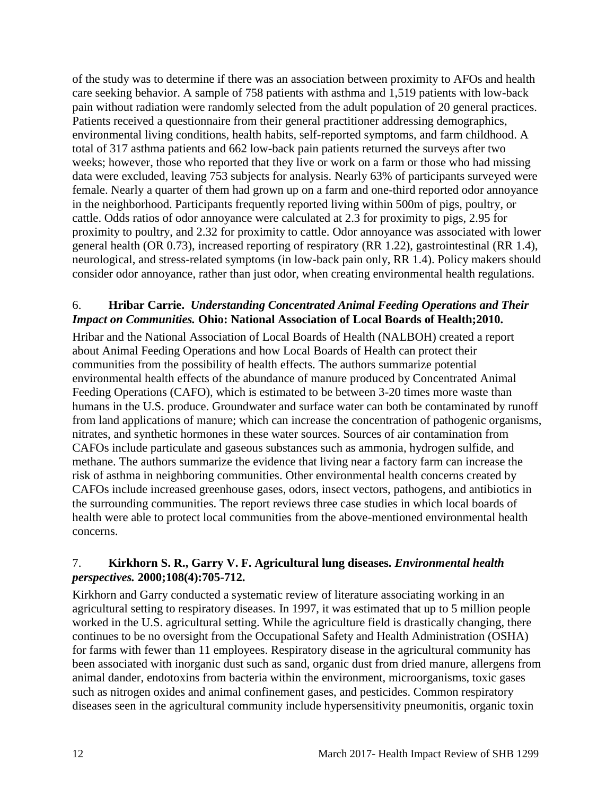of the study was to determine if there was an association between proximity to AFOs and health care seeking behavior. A sample of 758 patients with asthma and 1,519 patients with low-back pain without radiation were randomly selected from the adult population of 20 general practices. Patients received a questionnaire from their general practitioner addressing demographics, environmental living conditions, health habits, self-reported symptoms, and farm childhood. A total of 317 asthma patients and 662 low-back pain patients returned the surveys after two weeks; however, those who reported that they live or work on a farm or those who had missing data were excluded, leaving 753 subjects for analysis. Nearly 63% of participants surveyed were female. Nearly a quarter of them had grown up on a farm and one-third reported odor annoyance in the neighborhood. Participants frequently reported living within 500m of pigs, poultry, or cattle. Odds ratios of odor annoyance were calculated at 2.3 for proximity to pigs, 2.95 for proximity to poultry, and 2.32 for proximity to cattle. Odor annoyance was associated with lower general health (OR 0.73), increased reporting of respiratory (RR 1.22), gastrointestinal (RR 1.4), neurological, and stress-related symptoms (in low-back pain only, RR 1.4). Policy makers should consider odor annoyance, rather than just odor, when creating environmental health regulations.

#### 6. **Hribar Carrie.** *Understanding Concentrated Animal Feeding Operations and Their Impact on Communities.* **Ohio: National Association of Local Boards of Health;2010.**

Hribar and the National Association of Local Boards of Health (NALBOH) created a report about Animal Feeding Operations and how Local Boards of Health can protect their communities from the possibility of health effects. The authors summarize potential environmental health effects of the abundance of manure produced by Concentrated Animal Feeding Operations (CAFO), which is estimated to be between 3-20 times more waste than humans in the U.S. produce. Groundwater and surface water can both be contaminated by runoff from land applications of manure; which can increase the concentration of pathogenic organisms, nitrates, and synthetic hormones in these water sources. Sources of air contamination from CAFOs include particulate and gaseous substances such as ammonia, hydrogen sulfide, and methane. The authors summarize the evidence that living near a factory farm can increase the risk of asthma in neighboring communities. Other environmental health concerns created by CAFOs include increased greenhouse gases, odors, insect vectors, pathogens, and antibiotics in the surrounding communities. The report reviews three case studies in which local boards of health were able to protect local communities from the above-mentioned environmental health concerns.

## 7. **Kirkhorn S. R., Garry V. F. Agricultural lung diseases.** *Environmental health perspectives.* **2000;108(4):705-712.**

Kirkhorn and Garry conducted a systematic review of literature associating working in an agricultural setting to respiratory diseases. In 1997, it was estimated that up to 5 million people worked in the U.S. agricultural setting. While the agriculture field is drastically changing, there continues to be no oversight from the Occupational Safety and Health Administration (OSHA) for farms with fewer than 11 employees. Respiratory disease in the agricultural community has been associated with inorganic dust such as sand, organic dust from dried manure, allergens from animal dander, endotoxins from bacteria within the environment, microorganisms, toxic gases such as nitrogen oxides and animal confinement gases, and pesticides. Common respiratory diseases seen in the agricultural community include hypersensitivity pneumonitis, organic toxin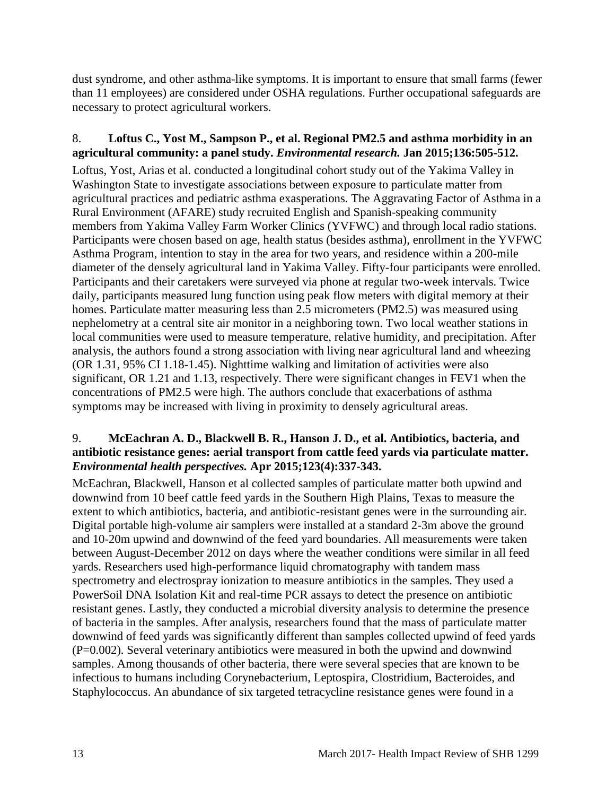dust syndrome, and other asthma-like symptoms. It is important to ensure that small farms (fewer than 11 employees) are considered under OSHA regulations. Further occupational safeguards are necessary to protect agricultural workers.

#### 8. **Loftus C., Yost M., Sampson P., et al. Regional PM2.5 and asthma morbidity in an agricultural community: a panel study.** *Environmental research.* **Jan 2015;136:505-512.**

Loftus, Yost, Arias et al. conducted a longitudinal cohort study out of the Yakima Valley in Washington State to investigate associations between exposure to particulate matter from agricultural practices and pediatric asthma exasperations. The Aggravating Factor of Asthma in a Rural Environment (AFARE) study recruited English and Spanish-speaking community members from Yakima Valley Farm Worker Clinics (YVFWC) and through local radio stations. Participants were chosen based on age, health status (besides asthma), enrollment in the YVFWC Asthma Program, intention to stay in the area for two years, and residence within a 200-mile diameter of the densely agricultural land in Yakima Valley. Fifty-four participants were enrolled. Participants and their caretakers were surveyed via phone at regular two-week intervals. Twice daily, participants measured lung function using peak flow meters with digital memory at their homes. Particulate matter measuring less than 2.5 micrometers (PM2.5) was measured using nephelometry at a central site air monitor in a neighboring town. Two local weather stations in local communities were used to measure temperature, relative humidity, and precipitation. After analysis, the authors found a strong association with living near agricultural land and wheezing (OR 1.31, 95% CI 1.18-1.45). Nighttime walking and limitation of activities were also significant, OR 1.21 and 1.13, respectively. There were significant changes in FEV1 when the concentrations of PM2.5 were high. The authors conclude that exacerbations of asthma symptoms may be increased with living in proximity to densely agricultural areas.

## 9. **McEachran A. D., Blackwell B. R., Hanson J. D., et al. Antibiotics, bacteria, and antibiotic resistance genes: aerial transport from cattle feed yards via particulate matter.**  *Environmental health perspectives.* **Apr 2015;123(4):337-343.**

McEachran, Blackwell, Hanson et al collected samples of particulate matter both upwind and downwind from 10 beef cattle feed yards in the Southern High Plains, Texas to measure the extent to which antibiotics, bacteria, and antibiotic-resistant genes were in the surrounding air. Digital portable high-volume air samplers were installed at a standard 2-3m above the ground and 10-20m upwind and downwind of the feed yard boundaries. All measurements were taken between August-December 2012 on days where the weather conditions were similar in all feed yards. Researchers used high-performance liquid chromatography with tandem mass spectrometry and electrospray ionization to measure antibiotics in the samples. They used a PowerSoil DNA Isolation Kit and real-time PCR assays to detect the presence on antibiotic resistant genes. Lastly, they conducted a microbial diversity analysis to determine the presence of bacteria in the samples. After analysis, researchers found that the mass of particulate matter downwind of feed yards was significantly different than samples collected upwind of feed yards (P=0.002). Several veterinary antibiotics were measured in both the upwind and downwind samples. Among thousands of other bacteria, there were several species that are known to be infectious to humans including Corynebacterium, Leptospira, Clostridium, Bacteroides, and Staphylococcus. An abundance of six targeted tetracycline resistance genes were found in a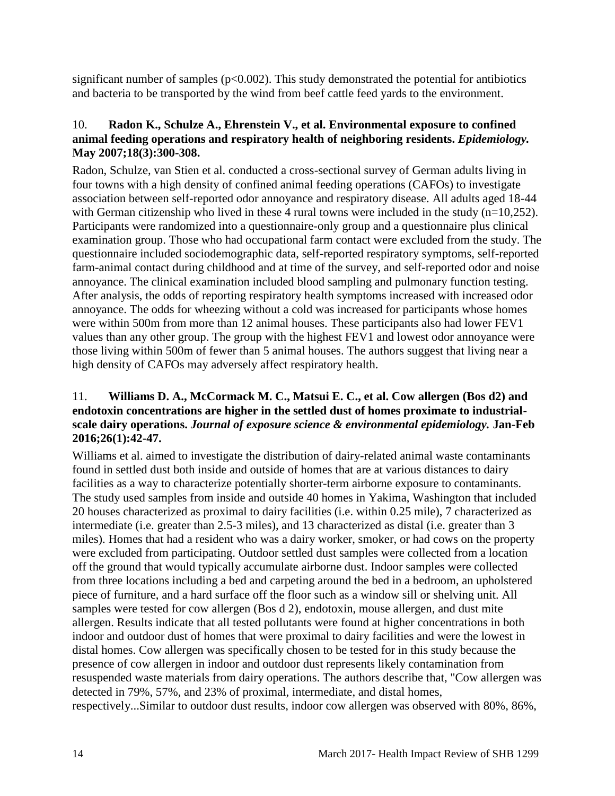significant number of samples ( $p<0.002$ ). This study demonstrated the potential for antibiotics and bacteria to be transported by the wind from beef cattle feed yards to the environment.

#### 10. **Radon K., Schulze A., Ehrenstein V., et al. Environmental exposure to confined animal feeding operations and respiratory health of neighboring residents.** *Epidemiology.*  **May 2007;18(3):300-308.**

Radon, Schulze, van Stien et al. conducted a cross-sectional survey of German adults living in four towns with a high density of confined animal feeding operations (CAFOs) to investigate association between self-reported odor annoyance and respiratory disease. All adults aged 18-44 with German citizenship who lived in these 4 rural towns were included in the study  $(n=10,252)$ . Participants were randomized into a questionnaire-only group and a questionnaire plus clinical examination group. Those who had occupational farm contact were excluded from the study. The questionnaire included sociodemographic data, self-reported respiratory symptoms, self-reported farm-animal contact during childhood and at time of the survey, and self-reported odor and noise annoyance. The clinical examination included blood sampling and pulmonary function testing. After analysis, the odds of reporting respiratory health symptoms increased with increased odor annoyance. The odds for wheezing without a cold was increased for participants whose homes were within 500m from more than 12 animal houses. These participants also had lower FEV1 values than any other group. The group with the highest FEV1 and lowest odor annoyance were those living within 500m of fewer than 5 animal houses. The authors suggest that living near a high density of CAFOs may adversely affect respiratory health.

## 11. **Williams D. A., McCormack M. C., Matsui E. C., et al. Cow allergen (Bos d2) and endotoxin concentrations are higher in the settled dust of homes proximate to industrialscale dairy operations.** *Journal of exposure science & environmental epidemiology.* **Jan-Feb 2016;26(1):42-47.**

Williams et al. aimed to investigate the distribution of dairy-related animal waste contaminants found in settled dust both inside and outside of homes that are at various distances to dairy facilities as a way to characterize potentially shorter-term airborne exposure to contaminants. The study used samples from inside and outside 40 homes in Yakima, Washington that included 20 houses characterized as proximal to dairy facilities (i.e. within 0.25 mile), 7 characterized as intermediate (i.e. greater than 2.5-3 miles), and 13 characterized as distal (i.e. greater than 3 miles). Homes that had a resident who was a dairy worker, smoker, or had cows on the property were excluded from participating. Outdoor settled dust samples were collected from a location off the ground that would typically accumulate airborne dust. Indoor samples were collected from three locations including a bed and carpeting around the bed in a bedroom, an upholstered piece of furniture, and a hard surface off the floor such as a window sill or shelving unit. All samples were tested for cow allergen (Bos d 2), endotoxin, mouse allergen, and dust mite allergen. Results indicate that all tested pollutants were found at higher concentrations in both indoor and outdoor dust of homes that were proximal to dairy facilities and were the lowest in distal homes. Cow allergen was specifically chosen to be tested for in this study because the presence of cow allergen in indoor and outdoor dust represents likely contamination from resuspended waste materials from dairy operations. The authors describe that, "Cow allergen was detected in 79%, 57%, and 23% of proximal, intermediate, and distal homes, respectively...Similar to outdoor dust results, indoor cow allergen was observed with 80%, 86%,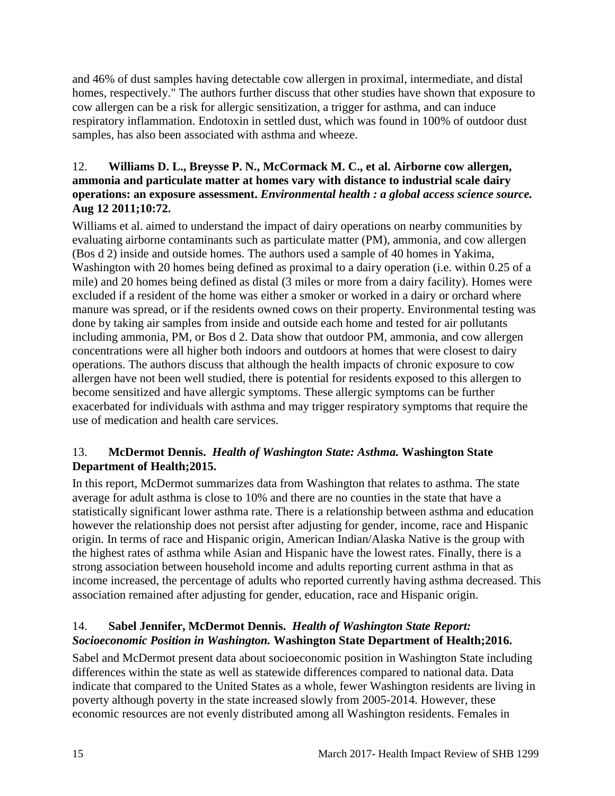and 46% of dust samples having detectable cow allergen in proximal, intermediate, and distal homes, respectively." The authors further discuss that other studies have shown that exposure to cow allergen can be a risk for allergic sensitization, a trigger for asthma, and can induce respiratory inflammation. Endotoxin in settled dust, which was found in 100% of outdoor dust samples, has also been associated with asthma and wheeze.

## 12. **Williams D. L., Breysse P. N., McCormack M. C., et al. Airborne cow allergen, ammonia and particulate matter at homes vary with distance to industrial scale dairy operations: an exposure assessment.** *Environmental health : a global access science source.*  **Aug 12 2011;10:72.**

Williams et al. aimed to understand the impact of dairy operations on nearby communities by evaluating airborne contaminants such as particulate matter (PM), ammonia, and cow allergen (Bos d 2) inside and outside homes. The authors used a sample of 40 homes in Yakima, Washington with 20 homes being defined as proximal to a dairy operation (i.e. within 0.25 of a mile) and 20 homes being defined as distal (3 miles or more from a dairy facility). Homes were excluded if a resident of the home was either a smoker or worked in a dairy or orchard where manure was spread, or if the residents owned cows on their property. Environmental testing was done by taking air samples from inside and outside each home and tested for air pollutants including ammonia, PM, or Bos d 2. Data show that outdoor PM, ammonia, and cow allergen concentrations were all higher both indoors and outdoors at homes that were closest to dairy operations. The authors discuss that although the health impacts of chronic exposure to cow allergen have not been well studied, there is potential for residents exposed to this allergen to become sensitized and have allergic symptoms. These allergic symptoms can be further exacerbated for individuals with asthma and may trigger respiratory symptoms that require the use of medication and health care services.

## 13. **McDermot Dennis.** *Health of Washington State: Asthma.* **Washington State Department of Health;2015.**

In this report, McDermot summarizes data from Washington that relates to asthma. The state average for adult asthma is close to 10% and there are no counties in the state that have a statistically significant lower asthma rate. There is a relationship between asthma and education however the relationship does not persist after adjusting for gender, income, race and Hispanic origin. In terms of race and Hispanic origin, American Indian/Alaska Native is the group with the highest rates of asthma while Asian and Hispanic have the lowest rates. Finally, there is a strong association between household income and adults reporting current asthma in that as income increased, the percentage of adults who reported currently having asthma decreased. This association remained after adjusting for gender, education, race and Hispanic origin.

## 14. **Sabel Jennifer, McDermot Dennis.** *Health of Washington State Report: Socioeconomic Position in Washington.* **Washington State Department of Health;2016.**

Sabel and McDermot present data about socioeconomic position in Washington State including differences within the state as well as statewide differences compared to national data. Data indicate that compared to the United States as a whole, fewer Washington residents are living in poverty although poverty in the state increased slowly from 2005-2014. However, these economic resources are not evenly distributed among all Washington residents. Females in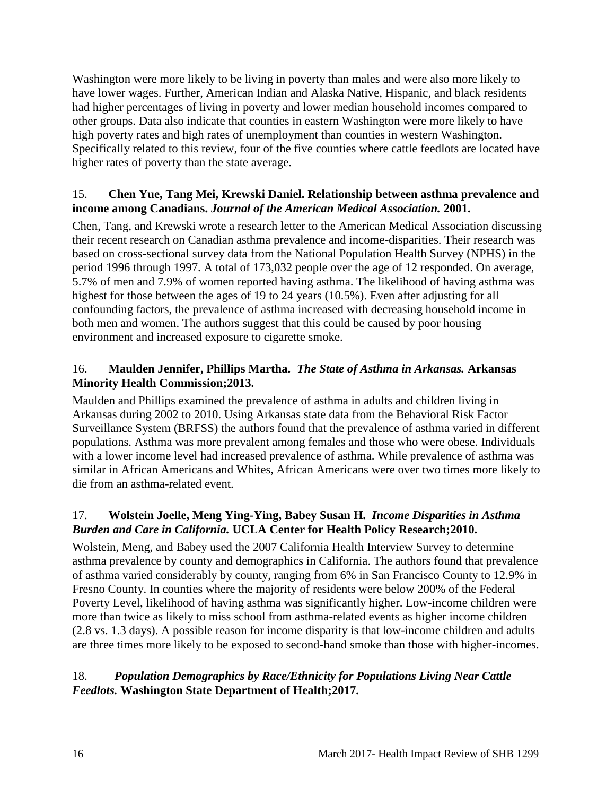Washington were more likely to be living in poverty than males and were also more likely to have lower wages. Further, American Indian and Alaska Native, Hispanic, and black residents had higher percentages of living in poverty and lower median household incomes compared to other groups. Data also indicate that counties in eastern Washington were more likely to have high poverty rates and high rates of unemployment than counties in western Washington. Specifically related to this review, four of the five counties where cattle feedlots are located have higher rates of poverty than the state average.

## 15. **Chen Yue, Tang Mei, Krewski Daniel. Relationship between asthma prevalence and income among Canadians.** *Journal of the American Medical Association.* **2001.**

Chen, Tang, and Krewski wrote a research letter to the American Medical Association discussing their recent research on Canadian asthma prevalence and income-disparities. Their research was based on cross-sectional survey data from the National Population Health Survey (NPHS) in the period 1996 through 1997. A total of 173,032 people over the age of 12 responded. On average, 5.7% of men and 7.9% of women reported having asthma. The likelihood of having asthma was highest for those between the ages of 19 to 24 years (10.5%). Even after adjusting for all confounding factors, the prevalence of asthma increased with decreasing household income in both men and women. The authors suggest that this could be caused by poor housing environment and increased exposure to cigarette smoke.

## 16. **Maulden Jennifer, Phillips Martha.** *The State of Asthma in Arkansas.* **Arkansas Minority Health Commission;2013.**

Maulden and Phillips examined the prevalence of asthma in adults and children living in Arkansas during 2002 to 2010. Using Arkansas state data from the Behavioral Risk Factor Surveillance System (BRFSS) the authors found that the prevalence of asthma varied in different populations. Asthma was more prevalent among females and those who were obese. Individuals with a lower income level had increased prevalence of asthma. While prevalence of asthma was similar in African Americans and Whites, African Americans were over two times more likely to die from an asthma-related event.

## 17. **Wolstein Joelle, Meng Ying-Ying, Babey Susan H.** *Income Disparities in Asthma Burden and Care in California.* **UCLA Center for Health Policy Research;2010.**

Wolstein, Meng, and Babey used the 2007 California Health Interview Survey to determine asthma prevalence by county and demographics in California. The authors found that prevalence of asthma varied considerably by county, ranging from 6% in San Francisco County to 12.9% in Fresno County. In counties where the majority of residents were below 200% of the Federal Poverty Level, likelihood of having asthma was significantly higher. Low-income children were more than twice as likely to miss school from asthma-related events as higher income children (2.8 vs. 1.3 days). A possible reason for income disparity is that low-income children and adults are three times more likely to be exposed to second-hand smoke than those with higher-incomes.

## 18.*Population Demographics by Race/Ethnicity for Populations Living Near Cattle Feedlots.* **Washington State Department of Health;2017.**